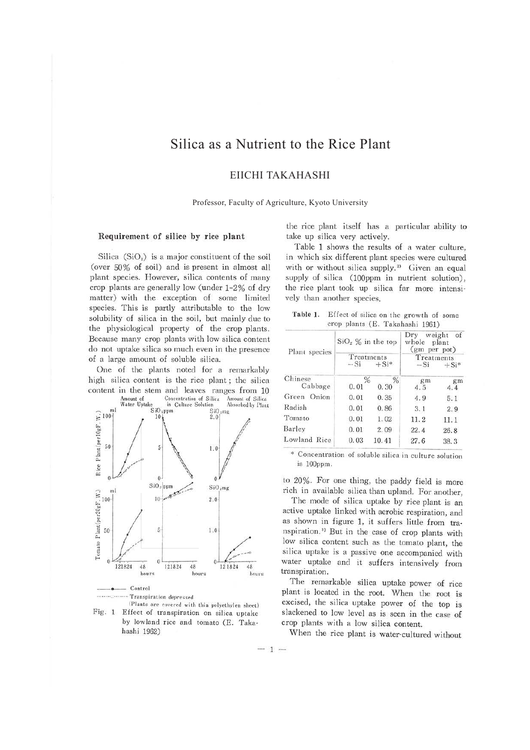# Silica as a Nutrient to the Rice Plant

EIICHI TAKAHASHI

Professor, Faculty of Agriculture, Kyoto University

## Requirement of silice by rice plant

Silica  $(SiO<sub>2</sub>)$  is a major constituent of the soil (over 50% of soil) and is present in almost all plant species. However, silica contents of many crop plants are generally low (under  $1-2\%$  of dry matter) with the exception of some limited species. This is partly attributable to the low solubility of silica in the soil, but mainly due to the physiological property of the crop plants. Because many crop plants with low silica content do not uptake silica so much even in the presence of a large amount of soluble silica.

One of the plants noted for a remarkably high silica content is the rice plant; the silica content in the stem and leaves ranges from 10<br>Amount of Concentration of Silica Amount of Silica





the rice plant itself has a particular ability to take up silica very actively.

Table 1 shows the results of a water culture, in which six different plant species were cultured with or without silica supply.<sup>2)</sup> Given an equal supply of silica (100ppm in nutrient solution), the rice plant took up silica far more intensively than another species.

| Table 1. | Effect of silica on the growth of some |  |
|----------|----------------------------------------|--|
|          | crop plants (E. Takahashi 1961)        |  |

| Plant species      | $SiO2$ % in the top |                       | weight<br>Dry<br>of<br>whole<br>plant<br>(gm per pot)<br>Treatments<br>$-Si$<br>$+Si*$ |           |  |
|--------------------|---------------------|-----------------------|----------------------------------------------------------------------------------------|-----------|--|
|                    | Treatments<br>$-Si$ | $+Si*$                |                                                                                        |           |  |
| Chinese<br>Cabbage | %<br>0.01           | $\frac{0}{6}$<br>0.30 | gm<br>4.5                                                                              | gm<br>4.4 |  |
| Green Onion        | 0.01                | 0.35                  | 4.9                                                                                    | 5.1       |  |
| Radish             | 0.01                | 0.86                  | 3.1                                                                                    | 2.9       |  |
| Tomato             | 0.01                | 1.02                  | 11.2                                                                                   | 11.1      |  |
| Barley             | 0.01                | 2.09                  | 22.4                                                                                   | 26.8      |  |
| Lowland Rice       | 0.03                | 10.41                 | 27.6                                                                                   | 38.3      |  |

is lOOppm.

to 20%. For one thing, the paddy field is more rich in available silica than upland. For another,

The mode of silica uptake by rice plant is an active uptake linked with aerobic respiration, and as shown in figure 1, it suffers little from tra· nspiration.<sup>3)</sup> But in the case of crop plants with low silica content such as the tomato plant, the silica uptake is a passive one accompanied with water uptake and it suffers intensively from transpiration.

The remarkable silica uptake power of rice plant is located in the root. When the root is excised, the silica uptake power of the top is slackened to low level as is seen in the case of crop plants with a low silica content.

When the rice plant is water-cultured without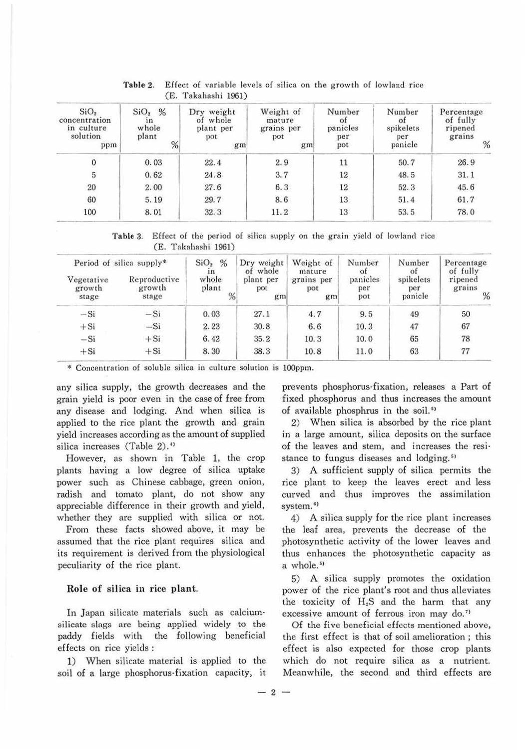| SiO <sub>2</sub><br>concentration<br>in culture<br>solution<br>ppm | %<br>SiO <sub>2</sub><br>1n<br>whole<br>plant<br>% | Dry weight<br>of whole<br>plant per<br>pot<br>gm | Weight of<br>mature<br>grains per<br>pot<br>gm | Number<br>ot<br>panicles<br>per<br>pot | Number<br>ot<br>spikelets<br>per<br>panicle | Percentage<br>of fully<br>ripened<br>grains<br>% |
|--------------------------------------------------------------------|----------------------------------------------------|--------------------------------------------------|------------------------------------------------|----------------------------------------|---------------------------------------------|--------------------------------------------------|
| $\boldsymbol{0}$                                                   | 0.03                                               | 22.4                                             | 2.9                                            | 11                                     | 50.7                                        | 26.9                                             |
| $\overline{5}$                                                     | 0.62                                               | 24.8                                             | 3.7                                            | 12                                     | 48.5                                        | 31.1                                             |
| 20                                                                 | 2.00                                               | 27.6                                             | 6.3                                            | 12                                     | 52.3                                        | 45.6                                             |
| 60                                                                 | 5.19                                               | 29.7                                             | 8.6                                            | 13                                     | 51.4                                        | 61.7                                             |
| 100                                                                | 8.01                                               | 32.3                                             | 11.2                                           | 13                                     | 53.5                                        | 78.0                                             |

Table 3. Effect of the period of silica supply on the grain yield of lowland rice

| Period of silica supply*      |                                 | %<br>SiO <sub>2</sub><br>ın | Dry weight<br>of whole | Weight of<br>mature     | Number<br>of           | Number<br>ot                | Percentage<br>of fully |
|-------------------------------|---------------------------------|-----------------------------|------------------------|-------------------------|------------------------|-----------------------------|------------------------|
| Vegetative<br>growth<br>stage | Reproductive<br>growth<br>stage | whole<br>plant<br>%         | plant per<br>pot<br>gm | grains per<br>pot<br>gm | panicles<br>per<br>pot | spikelets<br>per<br>panicle | ripened<br>grains<br>% |
| $-Si$                         | $-Si$                           | 0.03                        | 27.1                   | 4.7                     | 9.5                    | 49                          | 50                     |
| $+Si$                         | $-Si$                           | 2.23                        | 30.8                   | 6.6                     | 10.3                   | 47                          | 67                     |
| $-Si$                         | $+Si$                           | 6.42                        | 35.2                   | 10.3                    | 10.0                   | 65                          | 78                     |
| $+Si$                         | $+Si$                           | 8.30                        | 38.3                   | 10.8                    | 11.0                   | 63                          | 77                     |

\* Concentration of soluble silica in culture solution is 100ppm.

any silica supply, the growth decreases and the grain yield is poor even in the case of free from any disease and lodging. And when silica is applied to the rice plant the growth and grain yield increases according as the amount of supplied silica increases (Table 2).<sup>41</sup>

However, as shown in Table 1. the crop plants having a low degree of silica uptake power such as Chinese cabbage, green onion, radish and tomato plant, do not show any appreciable difference in their growth and yield, whether they are supplied with silica or not.

From these facts showed above, it may be assumed that the rice plant requires silica and its requirement is derived from the physiological peculiarity of the rice plant.

### Role of silica in rice plant.

In Japan silicate materials such as calciumsilicate slags are being applied widely to the paddy fields with the following beneficial effects on rice yields :

1) When silicate material is applied to the soil of a large phosphorus-fixation capacity, it

prevents phosphorus-fixation, releases a Part of fixed phosphorus and thus increases the amount of available phosphrus in the soil.<sup>51</sup>

2) When silica is absorbed by the rice plant in a large amount, silica deposits on the surface of the leaves and stem, and increases the resi· stance to fungus diseases and lodging.<sup>51</sup>

3) A sufficient supply of silica permits the rice plant to keep the leaves erect and less curved and thus improves the assimilation system.<sup>6)</sup>

4) A silica supply for the rice plant increases the leaf area, prevents the decrease of the photosynthetic activity of the lower leaves and thus enhances the photosynthetic capacity as a whole.<sup>5)</sup>

5) A silica supply promotes the oxidation power of the rice plant's root and thus alleviates the toxicity of H:S and the harm that any excessive amount of ferrous iron may do.<sup>7)</sup>

Of the five beneficial effects mentioned above, the first effect is that of soil amelioration ; this effect is also expected for those crop plants which do not require silica as a nutrient. Meanwhile, the second and third effects are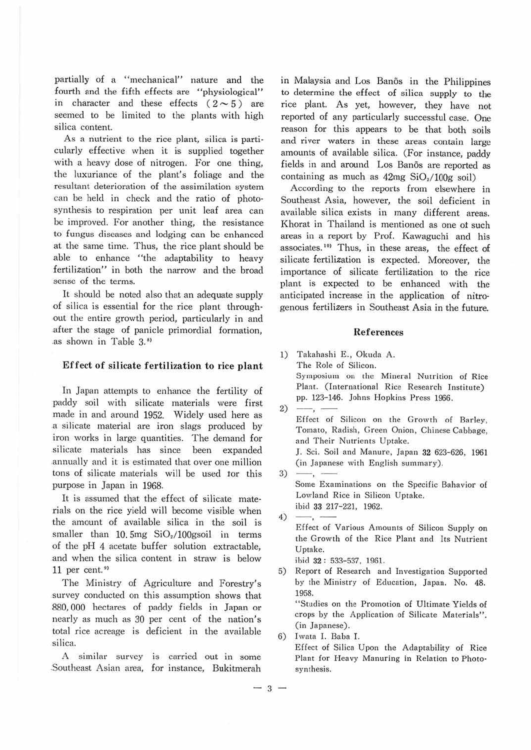partially of a "mechanical" nature and the fourth and the fifth effects are "physiological" in character and these effects  $(2 \sim 5)$  are seemed to be limited to the plants with high silica content.

As a nutrient to the rice plant, silica is particularly effective when it is supplied together with a heavy dose of nitrogen. For one thing, the luxuriance of the plant's foliage and the resultant deterioration of the assimilation system can be held in check and the ratio of photo· synthesis to respiration per unit leaf area can be improved. For another thing, the resistance to fungus diseases and lodging can be enhanced at the same time. Thus, the rice plant should be able to enhance "the adaptability to heavy fertilization" in both the narrow and the broad sense of the terms.

It should be noted also that an adequate supply of silica is essential for the rice plant through out the entire growth period, particularly in and .after the stage of panicle primordial formation, as shown in Table 3.<sup>8)</sup>

#### Effect of silicate fertilization to rice plant

In Japan attempts to enhance the fertility of paddy soil with silicate materials were first made in and around 1952. Widely used here as .a silicate material are iron slags produced by iron works in large quantities. The demand for silicate materials has since been expanded .annually and it is estimated that over one million tons of silicate materials will be used tor this purpose in Japan in 1968.

It is assumed that the effect of silicate materials on the rice yield will become visible when the amount of available silica in the soil is smaller than  $10.5mg$   $SiO<sub>2</sub>/100gs$ oil in terms of the pH 4 acetate buffer solution extractable, and when the silica content in straw is below 11 per cent. $9$ 

The Ministry of Agriculture and Forestry's survey conducted on this assumption shows that 880,000 hectares of paddy fields in Japan or nearly as much as 30 per cent of the nation's total rice acreage is deficient in the available silica.

A similar survey is carried out in some .Southeast Asian area, for instance, Bukitmerah

in Malaysia and Los Banos in the Philippines to determine the effect of silica supply to the rice plant. As yet, however, they have not reported of any particularly successtul case. One reason for this appears to be that both soils and river waters in these areas contain large amounts of available silica. (For instance, paddy fields in and around Los Banos are reported as containing as much as  $42mg$  SiO $/100g$  soil)

According to the reports from elsewhere in Southeast Asia, however, the soil deficient in available silica exists in many different areas. Khorat in Thailand is mentioned as one of such areas in a report by Prof. Kawaguchi and his associates.<sup>10</sup> Thus, in these areas, the effect of silicate fertilization is expected. Moreover, the importance of silicate fertilization to the rice plant is expected to be enhanced with the anticipated increase in the application of nitro· genous fertilizers in Southeast Asia in the future.

#### $Ref$ erences

1) Takahashi E., Okuda A. The Role of Silicon. Symposium on the Mineral Nutrition of Rice Plant. (International Rice Research Institute) pp. 123-146. Johns Hopkins Press 1966. Plant. (In<br>pp. 123-144<br>2)  $\frac{p}{\text{Effect of}}$ Effect of Silicon on the Growth of Barley, Tomato, Radish, Green Onion, Chinese Cabbage, and Their Nutrients Uptake. J. Sci. Soil and Manure, Japan 32 623-626, 1961 (in Japanese with English summary).  $3) \longrightarrow$ Some Examinations on the Specific Bahavior of Lowland Rice in Silicon Uptake. ibid 33 217-221, 1962.  $4)$  - . Effect of Various Amounts of Silicon Supply on the Growth of the Rice Plant and Its Nutrient Uptake. ibid 32 : 533-537, 1961. 5) Report of Research and Investigation Supported by the Ministry of Education, Japan. No. 48. 1958. "Studies on the Promotion of Ultimate Yields of

crops *by* the Application of Silicate Materials". (in Japanese).

6) Iwata I. Baba T. Effect of Silica Upon the Adaptability of Rice Plant for Heavy Manuring in Relation to Photo· synthesis.

 $-3 -$